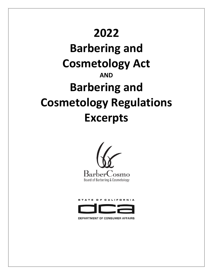## **2022**

# **Barbering and Cosmetology Act AND Barbering and Cosmetology Regulations Excerpts**





DEPARTMENT OF CONSUMER AFFAIRS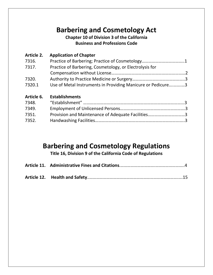## **Barbering and Cosmetology Act**

#### **Chapter 10 of Division 3 of the California Business and Professions Code**

| Article 2. | <b>Application of Chapter</b>                               |  |
|------------|-------------------------------------------------------------|--|
| 7316.      |                                                             |  |
| 7317.      | Practice of Barbering, Cosmetology, or Electrolysis for     |  |
|            |                                                             |  |
| 7320.      |                                                             |  |
| 7320.1     | Use of Metal Instruments in Providing Manicure or Pedicure3 |  |
| Article 6. | <b>Establishments</b>                                       |  |
| 7348.      |                                                             |  |
| 7349.      |                                                             |  |
| 7351.      | Provision and Maintenance of Adequate Facilities3           |  |

## **Barbering and Cosmetology Regulations**

7352. Handwashing Facilities……………………………………………………………………..3

**Title 16, Division 9 of the California Code of Regulations**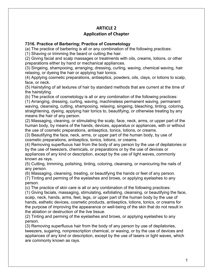#### **ARTICLE 2 Application of Chapter**

#### **7316. Practice of Barbering; Practice of Cosmetology**

(a) The practice of barbering is all or any combination of the following practices:

(1) Shaving or trimming the beard or cutting the hair.

(2) Giving facial and scalp massages or treatments with oils, creams, lotions, or other preparations either by hand or mechanical appliances.

(3) Singeing, shampooing, arranging, dressing, curling, waving, chemical waving, hair relaxing, or dyeing the hair or applying hair tonics.

(4) Applying cosmetic preparations, antiseptics, powders, oils, clays, or lotions to scalp, face, or neck.

(5) Hairstyling of all textures of hair by standard methods that are current at the time of the hairstyling.

(b) The practice of cosmetology is all or any combination of the following practices:

(1) Arranging, dressing, curling, waving, machineless permanent waving, permanent waving, cleansing, cutting, shampooing, relaxing, singeing, bleaching, tinting, coloring, straightening, dyeing, applying hair tonics to, beautifying, or otherwise treating by any means the hair of any person.

(2) Massaging, cleaning, or stimulating the scalp, face, neck, arms, or upper part of the human body, by means of the hands, devices, apparatus or appliances, with or without the use of cosmetic preparations, antiseptics, tonics, lotions, or creams.

(3) Beautifying the face, neck, arms, or upper part of the human body, by use of cosmetic preparations, antiseptics, tonics, lotions, or creams.

(4) Removing superfluous hair from the body of any person by the use of depilatories or by the use of tweezers, chemicals, or preparations or by the use of devices or appliances of any kind or description, except by the use of light waves, commonly known as rays.

(5) Cutting, trimming, polishing, tinting, coloring, cleansing, or manicuring the nails of any person.

(6) Massaging, cleansing, treating, or beautifying the hands or feet of any person.

(7) Tinting and perming of the eyelashes and brows, or applying eyelashes to any person.

(c) The practice of skin care is all or any combination of the following practices:

(1) Giving facials, massaging, stimulating, exfoliating, cleansing, or beautifying the face, scalp, neck, hands, arms, feet, legs, or upper part of the human body by the use of hands, esthetic devices, cosmetic products, antiseptics, lotions, tonics, or creams for the purpose of improving the appearance or well-being of the skin that do not result in the ablation or destruction of the live tissue.

(2) Tinting and perming of the eyelashes and brows, or applying eyelashes to any person.

(3) Removing superfluous hair from the body of any person by use of depilatories, tweezers, sugaring, nonprescription chemical, or waxing, or by the use of devices and appliances of any kind or description, except by the use of lasers or light waves, which are commonly known as rays.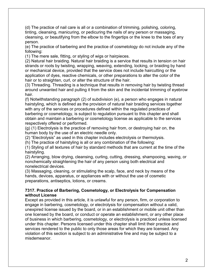(d) The practice of nail care is all or a combination of trimming, polishing, coloring, tinting, cleansing, manicuring, or pedicuring the nails of any person or massaging, cleansing, or beautifying from the elbow to the fingertips or the knee to the toes of any person.

(e) The practice of barbering and the practice of cosmetology do not include any of the following:

(1) The mere sale, fitting, or styling of wigs or hairpieces.

(2) Natural hair braiding. Natural hair braiding is a service that results in tension on hair strands or roots by twisting, wrapping, weaving, extending, locking, or braiding by hand or mechanical device, provided that the service does not include haircutting or the application of dyes, reactive chemicals, or other preparations to alter the color of the hair or to straighten, curl, or alter the structure of the hair.

(3) Threading. Threading is a technique that results in removing hair by twisting thread around unwanted hair and pulling it from the skin and the incidental trimming of eyebrow hair.

(f) Notwithstanding paragraph (2) of subdivision (e), a person who engages in natural hairstyling, which is defined as the provision of natural hair braiding services together with any of the services or procedures defined within the regulated practices of barbering or cosmetology, is subject to regulation pursuant to this chapter and shall obtain and maintain a barbering or cosmetology license as applicable to the services respectively offered or performed.

(g) (1) Electrolysis is the practice of removing hair from, or destroying hair on, the human body by the use of an electric needle only.

(2) "Electrolysis" as used in this chapter includes electrolysis or thermolysis.

(h) The practice of hairstyling is all or any combination of the following:

(1) Styling of all textures of hair by standard methods that are current at the time of the hairstyling.

(2) Arranging, blow drying, cleansing, curling, cutting, dressing, shampooing, waving, or nonchemically straightening the hair of any person using both electrical and nonelectrical devices.

(3) Massaging, cleaning, or stimulating the scalp, face, and neck by means of the hands, devices, apparatus, or appliances with or without the use of cosmetic preparations, antiseptics, lotions, or creams.

#### **7317. Practice of Barbering, Cosmetology, or Electrolysis for Compensation without License**

Except as provided in this article, it is unlawful for any person, firm, or corporation to engage in barbering, cosmetology, or electrolysis for compensation without a valid, unexpired license issued by the board, or in an establishment or mobile unit other than one licensed by the board, or conduct or operate an establishment, or any other place of business in which barbering, cosmetology, or electrolysis is practiced unless licensed under this chapter. Persons licensed under this chapter shall limit their practice and services rendered to the public to only those areas for which they are licensed. Any violation of this section is subject to an administrative fine and may be subject to a misdemeanor.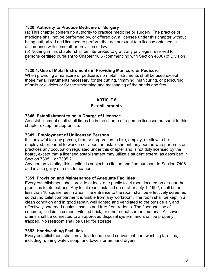#### **7320. Authority to Practice Medicine or Surgery**

(a) This chapter confers no authority to practice medicine or surgery. The practice of medicine shall not be performed by, or offered by, a licensee under this chapter without being authorized and licensed to perform that act pursuant to a license obtained in accordance with some other provision of law.

(b) Nothing in this chapter shall be interpreted to grant any privileges reserved for persons certified pursuant to Chapter 10.5 (commencing with Section 4600) of Division 2.

#### **7320.1. Use of Metal Instruments in Providing Manicure or Pedicure**

When providing a manicure or pedicure, no metal instruments shall be used except those metal instruments necessary for the cutting, trimming, manicuring, or pedicuring of nails or cuticles or for the smoothing and massaging of the hands and feet.

## **ARTICLE 6**

### **Establishments**

#### **7348. Establishment to be in Charge of Licensee**

An establishment shall at all times be in the charge of a person licensed pursuant to this chapter except an apprentice.

#### **7349. Employment of Unlicensed Persons**

It is unlawful for any person, firm, or corporation to hire, employ, or allow to be employed, or permit to work, in or about an establishment, any person who performs or practices any occupation regulated under this chapter and is not duly licensed by the board, except that a licensed establishment may utilize a student extern, as described in Section 7395.1 or 7395.2.

Any person violating this section is subject to citation and fine pursuant to Section 7406 and is also guilty of a misdemeanor.

#### **7351. Provision and Maintenance of Adequate Facilities**

Every establishment shall provide at least one public toilet room located on or near the premises for its patrons. Any toilet room installed on or after July 1, 1992, shall be not less than 18 square feet in area. The entrance to the room shall be effectively screened so that no toilet compartment is visible from any workroom. The room shall be kept in a clean condition and in good repair, well lighted and ventilated to the outside air, and effectively screened against insects and free from rodents. The floor shall be of concrete, tile laid in cement, vitrified brick, or other nonabsorbent material. All sewer drains shall be connected to an approved disposal system, and shall be properly trapped. No restroom shall be used for storage.

#### **7352. Handwashing Facilities**

Every establishment shall provide adequate and convenient handwashing facilities, including running water, soap, and towels or air hand dryers.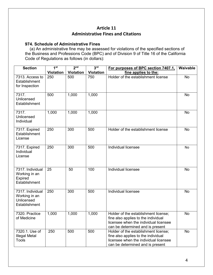#### **Article 11 Administrative Fines and Citations**

#### **974. Schedule of Administrative Fines**

 (a) An administrative fine may be assessed for violations of the specified sections of the Business and Professions Code (BPC) and of Division 9 of Title 16 of the California Code of Regulations as follows (in dollars):

| <b>Section</b>                                                   | 1 <sup>st</sup> | 2 <sub>nd</sub>  | 3 <sup>rd</sup>  | For purposes of BPC section 7407.1,                                                                                                                      | Waivable  |
|------------------------------------------------------------------|-----------------|------------------|------------------|----------------------------------------------------------------------------------------------------------------------------------------------------------|-----------|
|                                                                  | Violation       | <b>Violation</b> | <b>Violation</b> | fine applies to the:                                                                                                                                     |           |
| 7313. Access to<br>Establishment<br>for Inspection               | 250             | 500              | 750              | Holder of the establishment license                                                                                                                      | <b>No</b> |
| 7317.<br>Unlicensed<br>Establishment                             | 500             | 1,000            | 1,000            |                                                                                                                                                          | <b>No</b> |
| 7317.<br>Unlicensed<br>Individual                                | 1,000           | 1,000            | 1,000            |                                                                                                                                                          | No        |
| 7317. Expired<br>Establishment<br>License                        | 250             | 300              | 500              | Holder of the establishment license                                                                                                                      | <b>No</b> |
| 7317. Expired<br>Individual<br>License                           | 250             | $\overline{300}$ | 500              | Individual licensee                                                                                                                                      | <b>No</b> |
| 7317. Individual<br>Working in an<br>Expired<br>Establishment    | 25              | 50               | 100              | <b>Individual licensee</b>                                                                                                                               | <b>No</b> |
| 7317. Individual<br>Working in an<br>Unlicensed<br>Establishment | 250             | 300              | 500              | Individual licensee                                                                                                                                      | <b>No</b> |
| 7320. Practice<br>of Medicine                                    | 1,000           | 1,000            | 1,000            | Holder of the establishment license;<br>fine also applies to the individual<br>licensee when the individual licensee<br>can be determined and is present | <b>No</b> |
| 7320.1. Use of<br><b>Illegal Metal</b><br><b>Tools</b>           | 250             | 500              | 500              | Holder of the establishment license;<br>fine also applies to the individual<br>licensee when the individual licensee<br>can be determined and is present | <b>No</b> |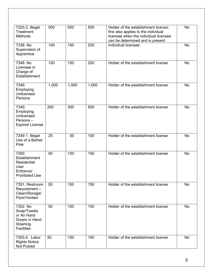| 7320.2. Illegal<br>Treatment<br><b>Methods</b>                                             | 500   | 500   | 500   | Holder of the establishment license;<br>fine also applies to the individual<br>licensee when the individual licensee<br>can be determined and is present | <b>No</b> |
|--------------------------------------------------------------------------------------------|-------|-------|-------|----------------------------------------------------------------------------------------------------------------------------------------------------------|-----------|
| 7336. No<br>Supervision of<br>Apprentice                                                   | 100   | 150   | 200   | Individual licensee                                                                                                                                      | <b>No</b> |
| 7348. No<br>Licensee in<br>Charge of<br>Establishment                                      | 100   | 150   | 200   | Holder of the establishment license                                                                                                                      | No        |
| 7349.<br>Employing<br>Unlicensed<br>Persons                                                | 1,000 | 1,000 | 1,000 | Holder of the establishment license                                                                                                                      | <b>No</b> |
| 7349.<br>Employing<br>Unlicensed<br>Persons-<br><b>Expired License</b>                     | 250   | 300   | 500   | Holder of the establishment license                                                                                                                      | <b>No</b> |
| 7349.1. Illegal<br>Use of a Barber<br>Pole                                                 | 25    | 50    | 100   | Holder of the establishment license                                                                                                                      | <b>No</b> |
| 7350.<br>Establishment<br><b>Residential</b><br>Use/<br>Entrance/<br><b>Prohibited Use</b> | 50    | 100   | 150   | Holder of the establishment license                                                                                                                      | <b>No</b> |
| 7351. Restroom<br>Requirement-<br>Clean/Storage/<br>Floor/Vented                           | 50    | 100   | 150   | Holder of the establishment license                                                                                                                      | No        |
| 7352. No<br>Soap/Towels<br>or Air Hand<br>Dryers in Hand<br>Washing<br><b>Facilities</b>   | 50    | 100   | 150   | Holder of the establishment license                                                                                                                      | No        |
| 7353.4. Labor<br><b>Rights Notice</b><br><b>Not Posted</b>                                 | 50    | 100   | 150   | Holder of the establishment license                                                                                                                      | No        |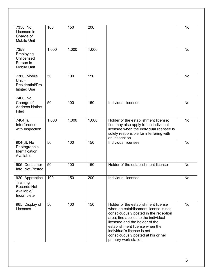| 7358. No<br>Licensee in<br>Charge of<br>Mobile Unit                           | 100   | 150   | 200   |                                                                                                                                                                                                                                                                                                                               | <b>No</b> |
|-------------------------------------------------------------------------------|-------|-------|-------|-------------------------------------------------------------------------------------------------------------------------------------------------------------------------------------------------------------------------------------------------------------------------------------------------------------------------------|-----------|
| 7359.<br>Employing<br>Unlicensed<br>Person in<br>Mobile Unit                  | 1,000 | 1,000 | 1,000 |                                                                                                                                                                                                                                                                                                                               | <b>No</b> |
| 7360. Mobile<br>Unit $-$<br>Residential/Pro<br>hibited Use                    | 50    | 100   | 150   |                                                                                                                                                                                                                                                                                                                               | No        |
| 7400. No<br>Change of<br><b>Address Notice</b><br>Filed                       | 50    | 100   | 150   | Individual licensee                                                                                                                                                                                                                                                                                                           | No        |
| 7404(I).<br>Interference<br>with Inspection                                   | 1,000 | 1,000 | 1,000 | Holder of the establishment license;<br>fine may also apply to the individual<br>licensee when the individual licensee is<br>solely responsible for interfering with<br>an inspection                                                                                                                                         | <b>No</b> |
| 904(d). No<br>Photographic<br>Identification<br>Available                     | 50    | 100   | 150   | Individual licensee                                                                                                                                                                                                                                                                                                           | <b>No</b> |
| 905. Consumer<br>Info. Not Posted                                             | 50    | 100   | 150   | Holder of the establishment license                                                                                                                                                                                                                                                                                           | <b>No</b> |
| 920. Apprentice<br>Training<br><b>Records Not</b><br>Available/<br>Incomplete | 100   | 150   | 200   | Individual licensee                                                                                                                                                                                                                                                                                                           | No        |
| 965. Display of<br>Licenses                                                   | 50    | 100   | 150   | Holder of the establishment license<br>when an establishment license is not<br>conspicuously posted in the reception<br>area; fine applies to the individual<br>licensee and the holder of the<br>establishment license when the<br>individual's license is not<br>conspicuously posted at his or her<br>primary work station | <b>No</b> |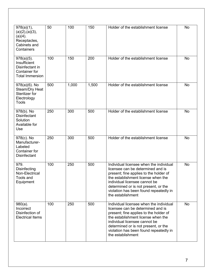| 978(a)(1),<br>(a)(2), (a)(3),<br>$(a)(4)$ .<br>Receptacles,<br>Cabinets and<br>Containers          | 50  | 100   | 150   | Holder of the establishment license                                                                                                                                                                                                                                                                  | <b>No</b> |
|----------------------------------------------------------------------------------------------------|-----|-------|-------|------------------------------------------------------------------------------------------------------------------------------------------------------------------------------------------------------------------------------------------------------------------------------------------------------|-----------|
| $978(a)(5)$ .<br>Insufficient<br>Disinfectant in<br><b>Container for</b><br><b>Total Immersion</b> | 100 | 150   | 200   | Holder of the establishment license                                                                                                                                                                                                                                                                  | <b>No</b> |
| 978(a)(6). No<br>Steam/Dry Heat<br>Sterilizer for<br>Electrology<br>Tools                          | 500 | 1,000 | 1,500 | Holder of the establishment license                                                                                                                                                                                                                                                                  | <b>No</b> |
| 978(b). No<br><b>Disinfectant</b><br>Solution<br>Available for<br>Use                              | 250 | 300   | 500   | Holder of the establishment license                                                                                                                                                                                                                                                                  | No        |
| 978(c). No<br>Manufacturer-<br>Labeled<br><b>Container for</b><br><b>Disinfectant</b>              | 250 | 300   | 500   | Holder of the establishment license                                                                                                                                                                                                                                                                  | No        |
| 979.<br><b>Disinfecting</b><br>Non-Electrical<br>Tools and<br>Equipment                            | 100 | 250   | 500   | Individual licensee when the individual<br>licensee can be determined and is<br>present; fine applies to the holder of<br>the establishment license when the<br>individual licensee cannot be<br>determined or is not present, or the<br>violation has been found repeatedly in<br>the establishment | <b>No</b> |
| $980(a)$ .<br>Incorrect<br>Disinfection of<br><b>Electrical Items</b>                              | 100 | 250   | 500   | Individual licensee when the individual<br>licensee can be determined and is<br>present; fine applies to the holder of<br>the establishment license when the<br>individual licensee cannot be<br>determined or is not present, or the<br>violation has been found repeatedly in<br>the establishment | <b>No</b> |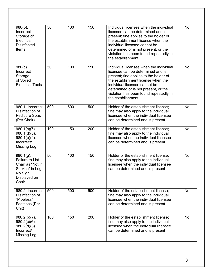| $980(b)$ .<br>Incorrect<br>Storage of<br>Electrical<br><b>Disinfected</b><br>Items                                 | 50  | 100 | 150 | Individual licensee when the individual<br>licensee can be determined and is<br>present; fine applies to the holder of<br>the establishment license when the<br>individual licensee cannot be<br>determined or is not present, or the<br>violation has been found repeatedly in<br>the establishment | <b>No</b> |
|--------------------------------------------------------------------------------------------------------------------|-----|-----|-----|------------------------------------------------------------------------------------------------------------------------------------------------------------------------------------------------------------------------------------------------------------------------------------------------------|-----------|
| $980(c)$ .<br>Incorrect<br>Storage<br>of Soiled<br><b>Electrical Tools</b>                                         | 50  | 100 | 150 | Individual licensee when the individual<br>licensee can be determined and is<br>present; fine applies to the holder of<br>the establishment license when the<br>individual licensee cannot be<br>determined or is not present, or the<br>violation has been found repeatedly in<br>the establishment | No        |
| 980.1. Incorrect<br>Disinfection of<br>Pedicure Spas<br>(Per Chair)                                                | 500 | 500 | 500 | Holder of the establishment license;<br>fine may also apply to the individual<br>licensee when the individual licensee<br>can be determined and is present                                                                                                                                           | <b>No</b> |
| $980.1(c)(7)$ .<br>$980.1(d)(8)$ .<br>$980.1(e)(4)$ .<br>Incorrect/<br>Missing Log                                 | 100 | 150 | 200 | Holder of the establishment license;<br>fine may also apply to the individual<br>licensee when the individual licensee<br>can be determined and is present                                                                                                                                           | <b>No</b> |
| $980.1(g)$ .<br><b>Failure to List</b><br>Chair as "Not in<br>Service" in Log;<br>No Sign<br>Displayed on<br>Chair | 50  | 100 | 150 | Holder of the establishment license;<br>fine may also apply to the individual<br>licensee when the individual licensee<br>can be determined and is present                                                                                                                                           | <b>No</b> |
| 980.2. Incorrect<br>Disinfection of<br>"Pipeless"<br>Footspas (Per<br>Unit)                                        | 500 | 500 | 500 | Holder of the establishment license;<br>fine may also apply to the individual<br>licensee when the individual licensee<br>can be determined and is present                                                                                                                                           | <b>No</b> |
| $980.2(b)(7)$ .<br>$980.2(c)(6)$ .<br>$980.2(d)(3)$ .<br>Incorrect/<br><b>Missing Log</b>                          | 100 | 150 | 200 | Holder of the establishment license;<br>fine may also apply to the individual<br>licensee when the individual licensee<br>can be determined and is present                                                                                                                                           | <b>No</b> |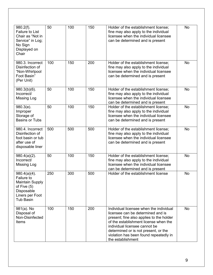| $980.2(f)$ .<br><b>Failure to List</b><br>Chair as "Not in<br>Service" in Log;<br>No Sign<br>Displayed on<br>Chair            | 50  | 100 | 150 | Holder of the establishment license;<br>fine may also apply to the individual<br>licensee when the individual licensee<br>can be determined and is present                                                                                                                                                | <b>No</b> |
|-------------------------------------------------------------------------------------------------------------------------------|-----|-----|-----|-----------------------------------------------------------------------------------------------------------------------------------------------------------------------------------------------------------------------------------------------------------------------------------------------------------|-----------|
| 980.3. Incorrect<br>Disinfection of<br>"Non-Whirlpool<br>Foot Basin"<br>(Per Unit)                                            | 100 | 150 | 200 | Holder of the establishment license;<br>fine may also apply to the individual<br>licensee when the individual licensee<br>can be determined and is present                                                                                                                                                | No        |
| $980.3(b)(6)$ .<br>Incorrect/<br>Missing Log                                                                                  | 50  | 100 | 150 | Holder of the establishment license;<br>fine may also apply to the individual<br>licensee when the individual licensee<br>can be determined and is present                                                                                                                                                | <b>No</b> |
| $980.3(e)$ .<br>Improper<br>Storage of<br><b>Basins or Tubs</b>                                                               | 50  | 100 | 150 | Holder of the establishment license;<br>fine may also apply to the individual<br>licensee when the individual licensee<br>can be determined and is present                                                                                                                                                | <b>No</b> |
| 980.4. Incorrect<br>Disinfection of<br>foot basin or tub<br>after use of<br>disposable liner                                  | 500 | 500 | 500 | Holder of the establishment license;<br>fine may also apply to the individual<br>licensee when the individual licensee<br>can be determined and is present                                                                                                                                                | <b>No</b> |
| $980.4(a)(2)$ .<br>Incorrect/<br>Missing Log                                                                                  | 50  | 100 | 150 | Holder of the establishment license;<br>fine may also apply to the individual<br>licensee when the individual licensee<br>can be determined and is present                                                                                                                                                | No        |
| $980.4(a)(4)$ .<br>Failure to<br><b>Maintain Supply</b><br>of Five $(5)$<br>Disposable<br>Liners per Foot<br><b>Tub Basin</b> | 250 | 300 | 500 | Holder of the establishment license                                                                                                                                                                                                                                                                       | <b>No</b> |
| 981(a). No<br>Disposal of<br>Non-Disinfected<br>Items                                                                         | 100 | 150 | 200 | Individual licensee when the individual<br>licensee can be determined and is<br>present; fine also applies to the holder<br>of the establishment license when the<br>individual licensee cannot be<br>determined or is not present, or the<br>violation has been found repeatedly in<br>the establishment | No        |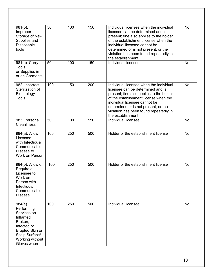| $981(b)$ .<br>Improper<br>Storage of New<br>Supplies and<br>Disposable<br>tools                                                                       | 50  | 100 | 150 | Individual licensee when the individual<br>licensee can be determined and is<br>present; fine also applies to the holder<br>of the establishment license when the<br>individual licensee cannot be<br>determined or is not present, or the<br>violation has been found repeatedly in<br>the establishment | <b>No</b> |
|-------------------------------------------------------------------------------------------------------------------------------------------------------|-----|-----|-----|-----------------------------------------------------------------------------------------------------------------------------------------------------------------------------------------------------------------------------------------------------------------------------------------------------------|-----------|
| 981(c). Carry<br><b>Tools</b><br>or Supplies in<br>or on Garments                                                                                     | 50  | 100 | 150 | Individual licensee                                                                                                                                                                                                                                                                                       | <b>No</b> |
| 982. Incorrect<br>Sterilization of<br>Electrology<br>Tools                                                                                            | 100 | 150 | 200 | Individual licensee when the individual<br>licensee can be determined and is<br>present; fine also applies to the holder<br>of the establishment license when the<br>individual licensee cannot be<br>determined or is not present, or the<br>violation has been found repeatedly in<br>the establishment | <b>No</b> |
| 983. Personal<br><b>Cleanliness</b>                                                                                                                   | 50  | 100 | 150 | Individual licensee                                                                                                                                                                                                                                                                                       | <b>No</b> |
| 984(a). Allow<br>Licensee<br>with Infectious/<br>Communicable<br>Disease to<br>Work on Person                                                         | 100 | 250 | 500 | Holder of the establishment license                                                                                                                                                                                                                                                                       | <b>No</b> |
| $984(b)$ . Allow or<br>Require a<br>Licensee to<br>Work on<br>Person with<br>Infectious/<br>Communicable<br><b>Disease</b>                            | 100 | 250 | 500 | Holder of the establishment license                                                                                                                                                                                                                                                                       | <b>No</b> |
| $984(e)$ .<br>Performing<br>Services on<br>Inflamed,<br>Broken,<br>Infected or<br>Erupted Skin or<br>Scalp Surface/<br>Working without<br>Gloves when | 100 | 250 | 500 | Individual licensee                                                                                                                                                                                                                                                                                       | No        |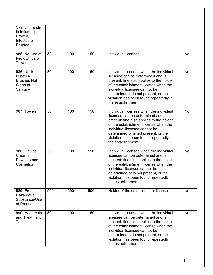| <b>Skin on Hands</b><br>Is Inflamed,<br>Broken,<br>Infected or<br>Erupted |     |     |     |                                                                                                                                                                                                                                                                                                           |           |
|---------------------------------------------------------------------------|-----|-----|-----|-----------------------------------------------------------------------------------------------------------------------------------------------------------------------------------------------------------------------------------------------------------------------------------------------------------|-----------|
| 985. No Use of<br>Neck Strips or<br>Towel                                 | 50  | 100 | 150 | Individual licensee                                                                                                                                                                                                                                                                                       | No        |
| 986. Neck<br>Dusters/<br><b>Brushes Not</b><br>Clean or<br>Sanitary       | 50  | 100 | 150 | Individual licensee when the individual<br>licensee can be determined and is<br>present; fine also applies to the holder<br>of the establishment license when the<br>individual licensee cannot be<br>determined or is not present, or the<br>violation has been found repeatedly in<br>the establishment | <b>No</b> |
| 987. Towels                                                               | 50  | 100 | 150 | Individual licensee when the individual<br>licensee can be determined and is<br>present; fine also applies to the holder<br>of the establishment license when the<br>individual licensee cannot be<br>determined or is not present, or the<br>violation has been found repeatedly in<br>the establishment | <b>No</b> |
| 988. Liquids,<br>Creams,<br>Powders and<br>Cosmetics                      | 50  | 100 | 150 | Individual licensee when the individual<br>licensee can be determined and is<br>present; fine also applies to the holder<br>of the establishment license when the<br>individual licensee cannot be<br>determined or is not present, or the<br>violation has been found repeatedly in<br>the establishment | <b>No</b> |
| 989. Prohibited<br>Hazardous<br>Substance/Use<br>of Product               | 500 | 500 | 500 | Holder of the establishment license                                                                                                                                                                                                                                                                       | <b>No</b> |
| 990. Headrests<br>and Treatment<br><b>Tables</b>                          | 50  | 100 | 150 | Individual licensee when the individual<br>licensee can be determined and is<br>present; fine also applies to the holder<br>of the establishment license when the<br>individual licensee cannot be<br>determined or is not present, or the<br>violation has been found repeatedly in<br>the establishment | <b>No</b> |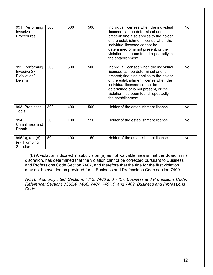| 991. Performing<br>Invasive<br><b>Procedures</b>                  | 500 | 500 | 500 | Individual licensee when the individual<br>licensee can be determined and is<br>present; fine also applies to the holder<br>of the establishment license when the<br>individual licensee cannot be<br>determined or is not present, or the<br>violation has been found repeatedly in<br>the establishment | <b>No</b> |
|-------------------------------------------------------------------|-----|-----|-----|-----------------------------------------------------------------------------------------------------------------------------------------------------------------------------------------------------------------------------------------------------------------------------------------------------------|-----------|
| 992. Performing<br><b>Invasive Skin</b><br>Exfoliation/<br>Dermis | 500 | 500 | 500 | Individual licensee when the individual<br>licensee can be determined and is<br>present; fine also applies to the holder<br>of the establishment license when the<br>individual licensee cannot be<br>determined or is not present, or the<br>violation has been found repeatedly in<br>the establishment | <b>No</b> |
| 993. Prohibited<br>Tools                                          | 300 | 400 | 500 | Holder of the establishment license                                                                                                                                                                                                                                                                       | <b>No</b> |
| 994.<br>Cleanliness and<br>Repair                                 | 50  | 100 | 150 | Holder of the establishment license                                                                                                                                                                                                                                                                       | <b>No</b> |
| $995(b)$ , (c), (d),<br>(e). Plumbing<br><b>Standards</b>         | 50  | 100 | 150 | Holder of the establishment license                                                                                                                                                                                                                                                                       | <b>No</b> |

 (b) A violation indicated in subdivision (a) as not waivable means that the Board, in its discretion, has determined that the violation cannot be corrected pursuant to Business and Professions Code Section 7407, and therefore that the fine for the first violation may not be avoided as provided for in Business and Professions Code section 7409.

*NOTE: Authority cited: Sections 7312, 7406 and 7407, Business and Professions Code. Reference: Sections 7353.4, 7406, 7407, 7407.1, and 7409, Business and Professions Code.*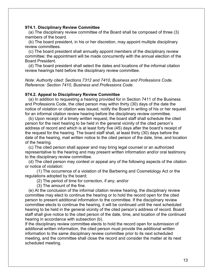#### **974.1. Disciplinary Review Committee**

 (a) The disciplinary review committee of the Board shall be composed of three (3) members of the board.

 (b) The board president, in his or her discretion, may appoint multiple disciplinary review committees.

 (c) The board president shall annually appoint members of the disciplinary review committee; the appointment will be made concurrently with the annual election of the Board President.

 (d) The board president shall select the dates and locations of the informal citation review hearings held before the disciplinary review committee.

*Note: Authority cited: Sections 7312 and 7410, Business and Professions Code. Reference: Section 7410, Business and Professions Code.*

#### **974.2. Appeal to Disciplinary Review Committee**

 (a) In addition to requesting a hearing provided for in Section 7411 of the Business and Professions Code, the cited person may within thirty (30) days of the date the notice of violation or citation was issued, notify the Board in writing of his or her request for an informal citation review hearing before the disciplinary review committee.

 (b) Upon receipt of a timely written request, the board staff shall schedule the cited person for the next hearing to be held in the general vicinity of the cited person's address of record and which is at least forty five (45) days after the board's receipt of the request for the hearing. The board staff shall, at least thirty (30) days before the date of the hearing, mail written notice to the cited person of the date, time, and location of the hearing.

 (c) The cited person shall appear and may bring legal counsel or an authorized representative to the hearing and may present written information and/or oral testimony to the disciplinary review committee.

 (d) The cited person may contest or appeal any of the following aspects of the citation or notice of violation:

 (1) The occurrence of a violation of the Barbering and Cosmetology Act or the regulations adopted by the board;

(2) The period of time for correction, if any; and/or

(3) The amount of the fine.

 (e) At the conclusion of the informal citation review hearing, the disciplinary review committee may elect to continue the hearing or to hold the record open for the cited person to present additional information to the committee. If the disciplinary review committee elects to continue the hearing, it will be continued until the next scheduled hearing to be held in the general vicinity of the cited person's address of record. Board staff shall give notice to the cited person of the date, time, and location of the continued hearing in accordance with subsection (b).

If the disciplinary review committee elects to hold the record open for submission of additional written information, the cited person must provide the additional written information to the same disciplinary review committee prior to its next scheduled meeting, and the committee shall close the record and consider the matter at its next scheduled meeting.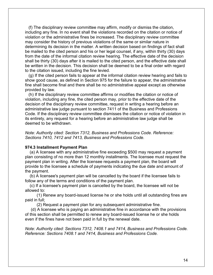(f) The disciplinary review committee may affirm, modify or dismiss the citation, including any fine. In no event shall the violations recorded on the citation or notice of violation or the administrative fines be increased. The disciplinary review committee may consider the history of previous violations of the same or similar nature in determining its decision in the matter. A written decision based on findings of fact shall be mailed to the cited person and his or her legal counsel, if any, within thirty (30) days from the date of the informal citation review hearing. The effective date of the decision shall be thirty (30) days after it is mailed to the cited person, and the effective date shall be written in the decision. This decision shall be deemed to be a final order with regard to the citation issued, including the fine levied.

 (g) If the cited person fails to appear at the informal citation review hearing and fails to show good cause, as defined in Section 975 for the failure to appear, the administrative fine shall become final and there shall be no administrative appeal except as otherwise provided by law.

 (h) If the disciplinary review committee affirms or modifies the citation or notice of violation, including any fine, the cited person may, prior to the effective date of the decision of the disciplinary review committee, request in writing a hearing before an administrative law judge pursuant to section 7411 of the Business and Professions Code. If the disciplinary review committee dismisses the citation or notice of violation in its entirety, any request for a hearing before an administrative law judge shall be deemed to be withdrawn.

*Note: Authority cited: Section 7312, Business and Professions Code. Reference: Sections 7410, 7412 and 7413, Business and Professions Code.*

#### **974.3 Installment Payment Plan**

 (a) A licensee with any administrative fine exceeding \$500 may request a payment plan consisting of no more than 12 monthly installments. The licensee must request the payment plan in writing. After the licensee requests a payment plan, the board will provide to the licensee a schedule of payments indicating the due date and amount of the payment.

 (b) A licensee's payment plan will be cancelled by the board if the licensee fails to follow any of the terms and conditions of the payment plan.

 (c) If a licensee's payment plan is cancelled by the board, the licensee will not be allowed to:

 (1) Renew any board-issued license he or she holds until all outstanding fines are paid in full;

(2) Request a payment plan for any subsequent administrative fine.

 (d) A licensee who is paying an administrative fine in accordance with the provisions of this section shall be permitted to renew any board-issued license he or she holds even if the fines have not been paid in full by the renewal date.

*Note: Authority cited: Sections 7312, 7408.1 and 7414, Business and Professions Code. Reference: Sections 7408.1 and 7414, Business and Professions Code.*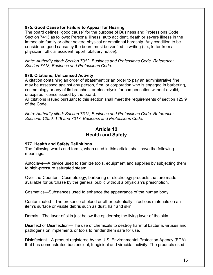#### **975. Good Cause for Failure to Appear for Hearing**

The board defines "good cause" for the purpose of Business and Professions Code Section 7413 as follows: Personal illness, auto accident, death or severe illness in the immediate family or other severe physical or emotional hardship. Any condition to be considered good cause by the board must be verified in writing (i.e., letter from a physician, official accident report, obituary notice).

*Note: Authority cited: Section 7312, Business and Professions Code. Reference: Section 7413, Business and Professions Code*.

#### **976. Citations; Unlicensed Activity**

A citation containing an order of abatement or an order to pay an administrative fine may be assessed against any person, firm, or corporation who is engaged in barbering, cosmetology or any of its branches, or electrolysis for compensation without a valid, unexpired license issued by the board.

All citations issued pursuant to this section shall meet the requirements of section 125.9 of the Code.

*Note: Authority cited: Section 7312, Business and Professions Code. Reference: Sections 125.9, 148 and 7317, Business and Professions Code.*

#### **Article 12 Health and Safety**

#### **977. Health and Safety Definitions**

The following words and terms, when used in this article, shall have the following meanings:

Autoclave—A device used to sterilize tools, equipment and supplies by subjecting them to high-pressure saturated steam.

Over-the-Counter—Cosmetology, barbering or electrology products that are made available for purchase by the general public without a physician's prescription.

Cosmetics—Substances used to enhance the appearance of the human body.

Contaminated—The presence of blood or other potentially infectious materials on an item's surface or visible debris such as dust, hair and skin.

Dermis—The layer of skin just below the epidermis; the living layer of the skin.

Disinfect or Disinfection—The use of chemicals to destroy harmful bacteria, viruses and pathogens on implements or tools to render them safe for use.

Disinfectant—A product registered by the U.S. Environmental Protection Agency (EPA) that has demonstrated bactericidal, fungicidal and virucidal activity. The products used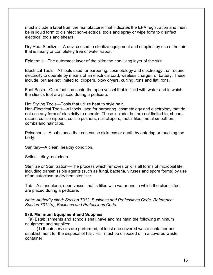must include a label from the manufacturer that indicates the EPA registration and must be in liquid form to disinfect non-electrical tools and spray or wipe form to disinfect electrical tools and shears.

Dry Heat Sterilizer—A device used to sterilize equipment and supplies by use of hot air that is nearly or completely free of water vapor.

Epidermis—The outermost layer of the skin; the non-living layer of the skin.

Electrical Tools—All tools used for barbering, cosmetology and electrology that require electricity to operate by means of an electrical cord, wireless charger, or battery. These include, but are not limited to, clippers, blow dryers, curling irons and flat irons.

Foot Basin—On a foot spa chair, the open vessel that is filled with water and in which the client's feet are placed during a pedicure.

Hot Styling Tools—Tools that utilize heat to style hair.

Non-Electrical Tools—All tools used for barbering, cosmetology and electrology that do not use any form of electricity to operate. These include, but are not limited to, shears, razors, cuticle nippers, cuticle pushers, nail clippers, metal files, metal smoothers, combs and hair clips.

Poisonous—A substance that can cause sickness or death by entering or touching the body.

Sanitary—A clean, healthy condition.

Soiled—dirty; not clean.

Sterilize or Sterilization—The process which removes or kills all forms of microbial life, including transmissible agents (such as fungi, bacteria, viruses and spore forms) by use of an autoclave or dry heat sterilizer.

Tub—A standalone, open vessel that is filled with water and in which the client's feet are placed during a pedicure.

*Note: Authority cited: Section 7312, Business and Professions Code. Reference: Section 7312(e), Business and Professions Code.*

#### **978. Minimum Equipment and Supplies**

 (a) Establishments and schools shall have and maintain the following minimum equipment and supplies:

 (1) If hair services are performed, at least one covered waste container per establishment for the disposal of hair. Hair must be disposed of in a covered waste container.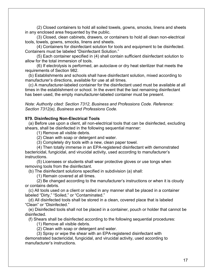(2) Closed containers to hold all soiled towels, gowns, smocks, linens and sheets in any enclosed area frequented by the public.

 (3) Closed, clean cabinets, drawers, or containers to hold all clean non-electrical tools, towels, gowns, smocks, linens and sheets.

 (4) Containers for disinfectant solution for tools and equipment to be disinfected. Containers must be labeled "Disinfectant Solution."

 (5) Each container specified in (4) shall contain sufficient disinfectant solution to allow for the total immersion of tools.

 (6) If electrolysis is performed, an autoclave or dry heat sterilizer that meets the requirements of Section 982.

 (b) Establishments and schools shall have disinfectant solution, mixed according to manufacturer's directions, available for use at all times.

 (c) A manufacturer-labeled container for the disinfectant used must be available at all times in the establishment or school. In the event that the last remaining disinfectant has been used, the empty manufacturer-labeled container must be present.

*Note: Authority cited: Section 7312, Business and Professions Code. Reference: Section 7312(e), Business and Professions Code.*

#### **979. Disinfecting Non-Electrical Tools**

 (a) Before use upon a client, all non-electrical tools that can be disinfected, excluding shears, shall be disinfected in the following sequential manner:

(1) Remove all visible debris.

(2) Clean with soap or detergent and water.

(3) Completely dry tools with a new, clean paper towel.

 (4) Then totally immerse in an EPA-registered disinfectant with demonstrated bactericidal, fungicidal, and virucidal activity, used according to manufacturer's instructions.

 (5) Licensees or students shall wear protective gloves or use tongs when removing tools from the disinfectant.

(b) The disinfectant solutions specified in subdivision (a) shall:

(1) Remain covered at all times.

 (2) Be changed according to the manufacturer's instructions or when it is cloudy or contains debris.

 (c) All tools used on a client or soiled in any manner shall be placed in a container labeled "Dirty," "Soiled," or "Contaminated."

 (d) All disinfected tools shall be stored in a clean, covered place that is labeled "Clean" or "Disinfected."

 (e) Disinfected tools shall not be placed in a container, pouch or holder that cannot be disinfected.

(f) Shears shall be disinfected according to the following sequential procedures:

(1) Remove all visible debris.

(2) Clean with soap or detergent and water.

(3) Spray or wipe the shear with an EPA-registered disinfectant with

demonstrated bactericidal, fungicidal, and virucidal activity, used according to manufacturer's instructions.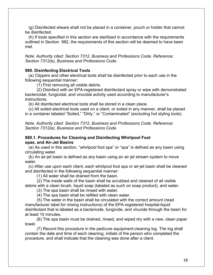(g) Disinfected shears shall not be placed in a container, pouch or holder that cannot be disinfected.

 (h) If tools specified in this section are sterilized in accordance with the requirements outlined in Section 982, the requirements of this section will be deemed to have been met.

*Note: Authority cited: Section 7312, Business and Professions Code. Reference: Section 7312(e), Business and Professions Code.*

#### **980. Disinfecting Electrical Tools**

 (a) Clippers and other electrical tools shall be disinfected prior to each use in the following sequential manner:

(1) First removing all visible debris.

 (2) Disinfect with an EPA-registered disinfectant spray or wipe with demonstrated bactericidal, fungicidal, and virucidal activity used according to manufacturer's instructions.

(b) All disinfected electrical tools shall be stored in a clean place.

 (c) All soiled electrical tools used on a client, or soiled in any manner, shall be placed in a container labeled "Soiled," "Dirty," or "Contaminated" (excluding hot styling tools).

*Note: Authority cited: Section 7312, Business and Professions Code. Reference: Section 7312(e), Business and Professions Code.* 

#### **980.1. Procedures for Cleaning and Disinfecting Whirlpool Foot spas, and Air-Jet Basins**

 (a) As used in this section, "whirlpool foot spa" or "spa" is defined as any basin using circulating water.

 (b) An air-jet basin is defined as any basin using an air jet stream system to move water.

 (c) After use upon each client, each whirlpool foot spa or air-jet basin shall be cleaned and disinfected in the following sequential manner:

(1) All water shall be drained from the basin.

 (2) The inside walls of the basin shall be scrubbed and cleaned of all visible debris with a clean brush, liquid soap (labeled as such on soap product), and water.

(3) The spa basin shall be rinsed with water.

(4) The spa basin shall be refilled with clean water.

 (5) The water in the basin shall be circulated with the correct amount (read manufacturer label for mixing instructions) of the EPA-registered hospital-liquid disinfectant that is labeled as a bactericide, fungicide, and virucide through the basin for at least 10 minutes.

 (6) The spa basin must be drained, rinsed, and wiped dry with a new, clean paper towel.

 (7) Record this procedure in the pedicure equipment-cleaning log. The log shall contain the date and time of each cleaning, initials of the person who completed the procedure, and shall indicate that the cleaning was done after a client.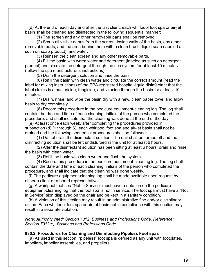(d) At the end of each day and after the last client, each whirlpool foot spa or air-jet basin shall be cleaned and disinfected in the following sequential manner:

(1) The screen and any other removable parts shall be removed.

 (2) Scrub all visible debris from the screen, inside walls of the basin, any other removable parts, and the area behind them with a clean brush, liquid soap (labeled as such on soap product), and water.

(3) Reinsert the clean screen and any other removable parts.

 (4) Fill the basin with warm water and detergent (labeled as such on detergent product) and circulate the detergent through the spa system for at least 10 minutes (follow the spa manufacturer's instructions).

(5) Drain the detergent solution and rinse the basin.

 (6) Refill the basin with clean water and circulate the correct amount (read the label for mixing instructions) of the EPA-registered hospital-liquid disinfectant that the label claims is a bactericide, fungicide, and virucide through the basin for at least 10 minutes.

 (7) Drain, rinse, and wipe the basin dry with a new, clean paper towel and allow basin to dry completely.

 (8) Record this procedure in the pedicure equipment-cleaning log. The log shall contain the date and time of each cleaning, initials of the person who completed the procedure, and shall indicate that the cleaning was done at the end of the day.

 (e) At least once each week, after completing the procedures provided in subsection (d) (1 through 6), each whirlpool foot spa and air-jet basin shall not be drained and the following sequential procedures shall be followed:

 (1) Do not drain the disinfectant solution. The unit shall be turned off and the disinfecting solution shall be left undisturbed in the unit for at least 6 hours.

 (2) After the disinfectant solution has been sitting at least 6 hours, drain and rinse the basin with clean water.

(3) Refill the basin with clean water and flush the system.

 (4) Record this procedure in the pedicure equipment-cleaning log. The log shall contain the date and time of each cleaning, initials of the person who completed the procedure, and shall indicate that the cleaning was done weekly.

 (f) The pedicure equipment-cleaning log shall be made available upon request by either a client or a board representative.

 (g) A whirlpool foot spa "Not in Service" must have a notation on the pedicure equipment-cleaning log that the foot spa is not in service. The foot spa must have a "Not in Service" sign displayed on the chair and be kept in a sanitary condition.

 (h) A violation of this section may result in an administrative fine and/or disciplinary action. Each whirlpool foot spa or air-jet basin not in compliance with this section may result in a separate violation.

*Note: Authority cited: Section 7312, Business and Professions Code. Reference: Section 7312(e), Business and Professions Code.* 

#### **980.2. Procedures for Cleaning and Disinfecting Pipeless Foot spas**

 (a) As used in this section, "pipeless" foot spa is defined as any unit with footplates, impellers, impeller assemblies, and propellers.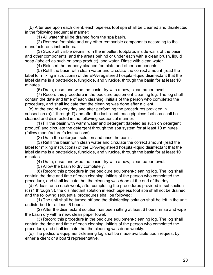(b) After use upon each client, each pipeless foot spa shall be cleaned and disinfected in the following sequential manner:

(1) All water shall be drained from the spa basin.

 (2) Remove footplate and any other removable components according to the manufacturer's instructions.

 (3) Scrub all visible debris from the impeller, footplate, inside walls of the basin, and other components, and the areas behind or under each with a clean brush, liquid soap (labeled as such on soap product), and water. Rinse with clean water.

(4) Reinsert the properly cleaned footplate and other components.

 (5) Refill the basin with clean water and circulate the correct amount (read the label for mixing instructions) of the EPA-registered hospital-liquid disinfectant that the label claims is a bactericide, fungicide, and virucide, through the basin for at least 10 minutes.

(6) Drain, rinse, and wipe the basin dry with a new, clean paper towel.

 (7) Record this procedure in the pedicure equipment-cleaning log. The log shall contain the date and time of each cleaning, initials of the person who completed the procedure, and shall indicate that the cleaning was done after a client.

 (c) At the end of every day and after performing the procedures provided in subsection (b)(1 through 7) and after the last client, each pipeless foot spa shall be cleaned and disinfected in the following sequential manner:

 (1) Fill the basin with warm water and detergent (labeled as such on detergent product) and circulate the detergent through the spa system for at least 10 minutes (follow manufacturer's instructions).

(2) Drain the detergent solution and rinse the basin.

 (3) Refill the basin with clean water and circulate the correct amount (read the label for mixing instructions) of the EPA-registered hospital-liquid disinfectant that the label claims is a bactericide, fungicide, and virucide, through the basin for at least 10 minutes.

(4) Drain, rinse, and wipe the basin dry with a new, clean paper towel.

(5) Allow the basin to dry completely.

 (6) Record this procedure in the pedicure equipment-cleaning log. The log shall contain the date and time of each cleaning, initials of the person who completed the procedure, and shall indicate that the cleaning was done at the end of the day.

 (d) At least once each week, after completing the procedures provided in subsection (c) (1 through 3), the disinfectant solution in each pipeless foot spa shall not be drained and the following sequential procedures shall be followed:

 (1) The unit shall be turned off and the disinfecting solution shall be left in the unit undisturbed for at least 6 hours.

 (2) After the disinfectant solution has been sitting at least 6 hours, rinse and wipe the basin dry with a new, clean paper towel.

 (3) Record this procedure in the pedicure equipment-cleaning log. The log shall contain the date and time of each cleaning, initials of the person who completed the procedure, and shall indicate that the cleaning was done weekly.

 (e) The pedicure equipment-cleaning log shall be made available upon request by either a client or a board representative.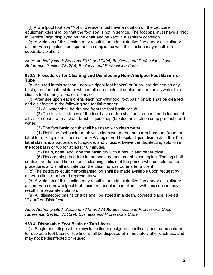(f) A whirlpool foot spa "Not in Service" must have a notation on the pedicure equipment-cleaning log that the foot spa is not in service. The foot spa must have a "Not in Service" sign displayed on the chair and be kept in a sanitary condition.

 (g) A violation of this section may result in an administrative fine and/or disciplinary action. Each pipeless foot spa not in compliance with this section may result in a separate violation.

*Note: Authority cited: Sections 7312 and 7406, Business and Professions Code. Reference: Section 7312(e), Business and Professions Code.* 

#### **980.3. Procedures for Cleaning and Disinfecting Non-Whirlpool Foot Basins or Tubs**

 (a) As used in this section, "non-whirlpool foot basins" or "tubs" are defined as any basin, tub, footbath, sink, bowl, and all non-electrical equipment that holds water for a client's feet during a pedicure service.

 (b) After use upon each client, each non-whirlpool foot basin or tub shall be cleaned and disinfected in the following sequential manner:

(1) All water shall be drained from the foot basin or tub.

 (2) The inside surfaces of the foot basin or tub shall be scrubbed and cleaned of all visible debris with a clean brush, liquid soap (labeled as such on soap product), and water.

(3) The foot basin or tub shall be rinsed with clean water.

 (4) Refill the foot basin or tub with clean water and the correct amount (read the label for mixing instructions) of the EPA-registered hospital-liquid disinfectant that the label claims is a bactericide, fungicide, and virucide. Leave the disinfecting solution in the foot basin or tub for at least 10 minutes.

(5) Drain, rinse, and wipe the basin dry with a new, clean paper towel.

 (6) Record this procedure in the pedicure equipment-cleaning log. The log shall contain the date and time of each cleaning, initials of the person who completed the procedure, and shall indicate that the cleaning was done after a client.

 (c) The pedicure equipment-cleaning log shall be made available upon request by either a client or a board representative.

 (d) A violation of this section may result in an administrative fine and/or disciplinary action. Each non-whirlpool foot basin or tub not in compliance with this section may result in a separate violation.

 (e) All disinfected basins or tubs shall be stored in a clean, covered place labeled "Clean" or "Disinfected."

*Note: Authority cited: Sections 7312 and 7406, Business and Professions Code. Reference: Section 7312(e), Business and Professions Code.*

#### **980.4. Disposable Foot Basin or Tub Liners**

 (a) Single-use, disposable, recyclable liners designed specifically and manufactured for use as a foot basin or tub liner shall be disposed of immediately after each use and may not be disinfected or reused.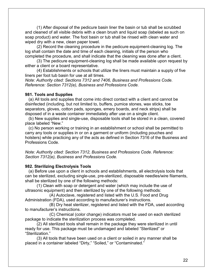(1) After disposal of the pedicure basin liner the basin or tub shall be scrubbed and cleaned of all visible debris with a clean brush and liquid soap (labeled as such on soap product) and water. The foot basin or tub shall be rinsed with clean water and wiped dry with a new, clean paper towel.

 (2) Record the cleaning procedure in the pedicure equipment-cleaning log. The log shall contain the date and time of each cleaning, initials of the person who completed the procedure, and shall indicate that the cleaning was done after a client.

 (3) The pedicure equipment-cleaning log shall be made available upon request by either a client or a board representative.

 (4) Establishments or schools that utilize the liners must maintain a supply of five liners per foot tub basin for use at all times.

*Note: Authority cited: Sections 7312 and 7406, Business and Professions Code. Reference: Section 7312(e), Business and Professions Code.*

#### **981. Tools and Supplies**

 (a) All tools and supplies that come into direct contact with a client and cannot be disinfected (including, but not limited to, buffers, pumice stones, wax sticks, toe separators, gloves, cotton pads, sponges, emery boards, and neck strips) shall be disposed of in a waste container immediately after use on a single client.

 (b) New supplies and single-use, disposable tools shall be stored in a clean, covered place labeled "New."

 (c) No person working or training in an establishment or school shall be permitted to carry any tools or supplies in or on a garment or uniform (including pouches and holsters) while practicing any of the acts as defined in Section 7316 of the Business and Professions Code.

*Note: Authority cited: Section 7312, Business and Professions Code. Reference: Section 7312(e), Business and Professions Code.* 

#### **982. Sterilizing Electrolysis Tools**

 (a) Before use upon a client in schools and establishments, all electrolysis tools that can be sterilized, excluding single-use, pre-sterilized, disposable needles/wire filaments, shall be sterilized by one of the following methods:

 (1) Clean with soap or detergent and water (which may include the use of ultrasonic equipment) and then sterilized by one of the following methods:

 (A) Autoclave, registered and listed with the U.S. Food and Drug Administration (FDA), used according to manufacturer's instructions.

 (B) Dry heat sterilizer, registered and listed with the FDA, used according to manufacturer's instructions.

 (C) Chemical (color change) indicators must be used on each sterilized package to indicate the sterilization process was completed.

 (2) All sterilized tools shall remain in the package they were sterilized in until ready for use. This package must be undamaged and labeled "Sterilized" or "Sterilization."

 (3) All tools that have been used on a client or soiled in any manner shall be placed in a container labeled "Dirty," "Soiled," or "Contaminated."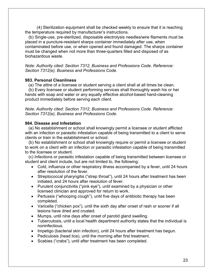(4) Sterilization equipment shall be checked weekly to ensure that it is reaching the temperature required by manufacturer's instructions.

 (b) Single-use, pre-sterilized, disposable electrolysis needles/wire filaments must be placed in a puncture-resistant sharps container immediately after use, when contaminated before use, or when opened and found damaged. The sharps container must be changed when not more than three-quarters filled and disposed of as biohazardous waste.

*Note: Authority cited: Section 7312, Business and Professions Code. Reference: Section 7312(e), Business and Professions Code.* 

#### **983. Personal Cleanliness**

(a) The attire of a licensee or student serving a client shall at all times be clean.

 (b) Every licensee or student performing services shall thoroughly wash his or her hands with soap and water or any equally effective alcohol-based hand-cleaning product immediately before serving each client.

*Note: Authority cited: Section 7312, Business and Professions Code. Reference: Section 7312(e), Business and Professions Code.* 

#### **984. Disease and Infestation**

 (a) No establishment or school shall knowingly permit a licensee or student afflicted with an infection or parasitic infestation capable of being transmitted to a client to serve clients or train in the establishment or school.

 (b) No establishment or school shall knowingly require or permit a licensee or student to work on a client with an infection or parasitic infestation capable of being transmitted to the licensee or student.

 (c) Infections or parasitic infestation capable of being transmitted between licensee or student and client include, but are not limited to, the following:

- Cold, influenza or other respiratory illness accompanied by a fever, until 24 hours after resolution of the fever.
- Streptococcal pharyngitis ("strep throat"), until 24 hours after treatment has been initiated, and 24 hours after resolution of fever.
- Purulent conjunctivitis ("pink eye"), until examined by a physician or other licensed clinician and approved for return to work.
- Pertussis ("whooping cough"), until five days of antibiotic therapy has been completed.
- Varicella ("chicken pox"), until the sixth day after onset of rash or sooner if all lesions have dried and crusted.
- Mumps, until nine days after onset of parotid gland swelling.
- Tuberculosis, until a local health department authority states that the individual is noninfectious.
- Impetigo (bacterial skin infection), until 24 hours after treatment has begun.
- Pediculosis (head lice), until the morning after first treatment.
- Scabies ("crabs"), until after treatment has been completed.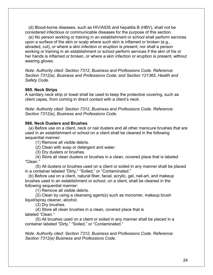(d) Blood-borne diseases, such as HIV/AIDS and hepatitis B (HBV), shall not be considered infectious or communicable diseases for the purpose of this section.

 (e) No person working or training in an establishment or school shall perform services upon a surface of the skin or scalp where such skin is inflamed or broken (e.g., abraded, cut), or where a skin infection or eruption is present; nor shall a person working or training in an establishment or school perform services if the skin of his or her hands is inflamed or broken, or where a skin infection or eruption is present, without wearing gloves.

*Note: Authority cited: Section 7312, Business and Professions Code. Reference: Section 7312(e), Business and Professions Code; and Section 121365, Health and Safety Code.* 

#### **985. Neck Strips**

A sanitary neck strip or towel shall be used to keep the protective covering, such as client capes, from coming in direct contact with a client's neck.

*Note: Authority cited: Section 7312, Business and Professions Code. Reference: Section 7312(e), Business and Professions Code.* 

#### **986. Neck Dusters and Brushes**

 (a) Before use on a client, neck or nail dusters and all other manicure brushes that are used in an establishment or school on a client shall be cleaned in the following sequential manner:

(1) Remove all visible debris.

(2) Clean with soap or detergent and water.

(3) Dry dusters or brushes.

 (4) Store all clean dusters or brushes in a clean, covered place that is labeled "Clean."

 (5) All dusters or brushes used on a client or soiled in any manner shall be placed in a container labeled "Dirty," "Soiled," or "Contaminated."

 (b) Before use on a client, natural fiber, facial, acrylic, gel, nail-art, and makeup brushes used in an establishment or school, on a client, shall be cleaned in the following sequential manner:

(1) Remove all visible debris.

 (2) Clean by using a cleansing agent(s) such as monomer, makeup brush liquid/spray cleaner, alcohol.

(3) Dry brushes.

 (4) Store all clean brushes in a clean, covered place that is labeled "Clean."

 (5) All brushes used on a client or soiled in any manner shall be placed in a container labeled "Dirty," "Soiled," or "Contaminated."

*Note: Authority cited: Section 7312, Business and Professions Code. Reference: Section 7312(e) Business and Professions Code.*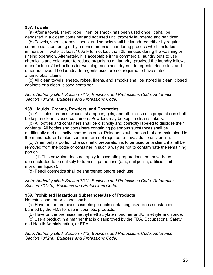#### **987. Towels**

 (a) After a towel, sheet, robe, linen, or smock has been used once, it shall be deposited in a closed container and not used until properly laundered and sanitized.

 (b) Towels, sheets, robes, linens, and smocks shall be laundered either by regular commercial laundering or by a noncommercial laundering process which includes immersion in water at least 160o F for not less than 25 minutes during the washing or rinsing operation. Alternately, it is acceptable if the commercial laundry opts to use chemicals and cold water to reduce organisms on laundry, provided the laundry follows manufacturers' instructions for washing machines, dryers, detergents, rinse aids, and other additives. The laundry detergents used are not required to have stated antimicrobial claims.

 (c) All clean towels, sheets, robes, linens, and smocks shall be stored in clean, closed cabinets or a clean, closed container.

*Note: Authority cited: Section 7312, Business and Professions Code. Reference: Section 7312(e), Business and Professions Code.*

#### **988. Liquids, Creams, Powders, and Cosmetics**

 (a) All liquids, creams, waxes, shampoos, gels, and other cosmetic preparations shall be kept in clean, closed containers. Powders may be kept in clean shakers.

 (b) All bottles and containers shall be distinctly and correctly labeled to disclose their contents. All bottles and containers containing poisonous substances shall be additionally and distinctly marked as such. Poisonous substances that are maintained in the manufacturer-labeled container are not required to have additional labeling.

 (c) When only a portion of a cosmetic preparation is to be used on a client, it shall be removed from the bottle or container in such a way as not to contaminate the remaining portion.

 (1) This provision does not apply to cosmetic preparations that have been demonstrated to be unlikely to transmit pathogens (e.g., nail polish, artificial nail monomer liquids).

(d) Pencil cosmetics shall be sharpened before each use.

*Note: Authority cited: Section 7312, Business and Professions Code. Reference: Section 7312(e), Business and Professions Code.* 

#### **989. Prohibited Hazardous Substances/Use of Products**

No establishment or school shall:

 (a) Have on the premises cosmetic products containing hazardous substances banned by the FDA for use in cosmetic products.

(b) Have on the premises methyl methacrylate monomer and/or methylene chloride.

 (c) Use a product in a manner that is disapproved by the FDA, Occupational Safety and Health Administration, or EPA.

*Note: Authority cited: Section 7312, Business and Professions Code. Reference: Section 7312(e), Business and Professions Code.*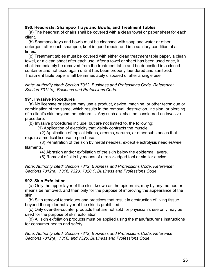#### **990. Headrests, Shampoo Trays and Bowls, and Treatment Tables**

 (a) The headrest of chairs shall be covered with a clean towel or paper sheet for each client.

 (b) Shampoo trays and bowls must be cleansed with soap and water or other detergent after each shampoo, kept in good repair, and in a sanitary condition at all times.

 (c) Treatment tables must be covered with either clean treatment table paper, a clean towel, or a clean sheet after each use. After a towel or sheet has been used once, it shall immediately be removed from the treatment table and be deposited in a closed container and not used again until it has been properly laundered and sanitized. Treatment table paper shall be immediately disposed of after a single use.

*Note: Authority cited: Section 7312, Business and Professions Code. Reference: Section 7312(e), Business and Professions Code.*

#### **991. Invasive Procedures**

 (a) No licensee or student may use a product, device, machine, or other technique or combination of the same, which results in the removal, destruction, incision, or piercing of a client's skin beyond the epidermis. Any such act shall be considered an invasive procedure.

(b) Invasive procedures include, but are not limited to, the following:

(1) Application of electricity that visibly contracts the muscle.

 (2) Application of topical lotions, creams, serums, or other substances that require a medical license to purchase.

 (3) Penetration of the skin by metal needles, except electrolysis needles/wire filaments.

(4) Abrasion and/or exfoliation of the skin below the epidermal layers.

(5) Removal of skin by means of a razor-edged tool or similar device.

*Note: Authority cited: Section 7312, Business and Professions Code. Reference: Sections 7312(e), 7316, 7320, 7320.1, Business and Professions Code.*

#### **992. Skin Exfoliation**

 (a) Only the upper layer of the skin, known as the epidermis, may by any method or means be removed, and then only for the purpose of improving the appearance of the skin.

 (b) Skin removal techniques and practices that result in destruction of living tissue beyond the epidermal layer of the skin is prohibited.

 (c) Only over-the-counter products that are not sold for physician's use only may be used for the purpose of skin exfoliation.

 (d) All skin exfoliation products must be applied using the manufacturer's instructions for consumer health and safety.

*Note: Authority cited: Section 7312, Business and Professions Code. Reference: Sections 7312(e), 7316, and 7320, Business and Professions Code.*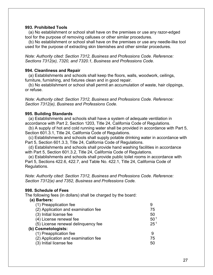#### **993. Prohibited Tools**

 (a) No establishment or school shall have on the premises or use any razor-edged tool for the purpose of removing calluses or other similar procedures.

 (b) No establishment or school shall have on the premises or use any needle-like tool used for the purpose of extracting skin blemishes and other similar procedures.

*Note: Authority cited: Section 7312, Business and Professions Code. Reference: Sections 7312(e), 7320, and 7320.1, Business and Professions Code.*

#### **994. Cleanliness and Repair**

 (a) Establishments and schools shall keep the floors, walls, woodwork, ceilings, furniture, furnishing, and fixtures clean and in good repair.

 (b) No establishment or school shall permit an accumulation of waste, hair clippings, or refuse.

*Note: Authority cited: Section 7312, Business and Professions Code. Reference: Section 7312(e), Business and Professions Code.*

#### **995. Building Standards**

 (a) Establishments and schools shall have a system of adequate ventilation in accordance with Part 2, Section 1203, Title 24, California Code of Regulations.

 (b) A supply of hot and cold running water shall be provided in accordance with Part 5, Section 601.3.1, Title 24, California Code of Regulations.

 (c) Establishments and schools shall supply potable drinking water in accordance with Part 5, Section 601.3.3, Title 24, California Code of Regulations.

 (d) Establishments and schools shall provide hand washing facilities in accordance with Part 5, Section 601.3.2, Title 24, California Code of Regulations.

 (e) Establishments and schools shall provide public toilet rooms in accordance with Part 5, Sections 422.6, 422.7, and Table No. 422.1, Title 24, California Code of Regulations.

*Note: Authority cited: Section 7312, Business and Professions Code. Reference: Section 7312(e) and 7352, Business and Professions Code.*

#### **998. Schedule of Fees**

The following fees (in dollars) shall be charged by the board:

#### **(a) Barbers:**

| (1) Preapplication fee              |                 |
|-------------------------------------|-----------------|
| (2) Application and examination fee | 75              |
| (3) Initial license fee             | 50              |
| (4) License renewal fee             | 50 <sup>1</sup> |
| (5) License renewal delinguency fee | 25 <sup>1</sup> |
| (b) Cosmetologists:                 |                 |
| (1) Preapplication fee              | 9               |
| (2) Application and examination fee | 75              |
| (3) Initial license fee             | 50              |
|                                     |                 |